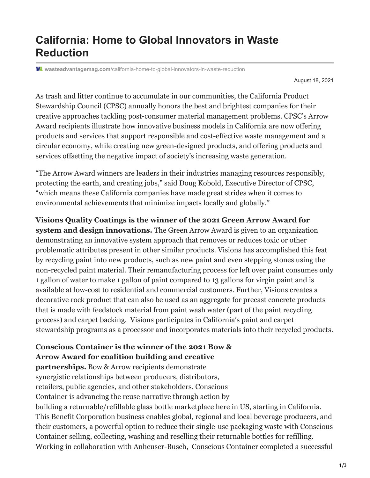## **California: Home to Global Innovators in Waste Reduction**

**wasteadvantagemag.com**[/california-home-to-global-innovators-in-waste-reduction](https://wasteadvantagemag.com/california-home-to-global-innovators-in-waste-reduction/)

August 18, 2021

As trash and litter continue to accumulate in our communities, the California Product Stewardship Council (CPSC) annually honors the best and brightest companies for their creative approaches tackling post-consumer material management problems. CPSC's Arrow Award recipients illustrate how innovative business models in California are now offering products and services that support responsible and cost-effective waste management and a circular economy, while creating new green-designed products, and offering products and services offsetting the negative impact of society's increasing waste generation.

"The Arrow Award winners are leaders in their industries managing resources responsibly, protecting the earth, and creating jobs," said Doug Kobold, Executive Director of CPSC, "which means these California companies have made great strides when it comes to environmental achievements that minimize impacts locally and globally."

**Visions Quality Coatings is the winner of the 2021 Green Arrow Award for system and design innovations.** The Green Arrow Award is given to an organization demonstrating an innovative system approach that removes or reduces toxic or other problematic attributes present in other similar products. Visions has accomplished this feat by recycling paint into new products, such as new paint and even stepping stones using the non-recycled paint material. Their remanufacturing process for left over paint consumes only 1 gallon of water to make 1 gallon of paint compared to 13 gallons for virgin paint and is available at low-cost to residential and commercial customers. Further, Visions creates a decorative rock product that can also be used as an aggregate for precast concrete products that is made with feedstock material from paint wash water (part of the paint recycling process) and carpet backing. Visions participates in California's paint and carpet stewardship programs as a processor and incorporates materials into their recycled products.

## **Conscious Container is the winner of the 2021 Bow & Arrow Award for coalition building and creative**

**partnerships.** Bow & Arrow recipients demonstrate synergistic relationships between producers, distributors, retailers, public agencies, and other stakeholders. Conscious Container is advancing the reuse narrative through action by building a returnable/refillable glass bottle marketplace here in US, starting in California. This Benefit Corporation business enables global, regional and local beverage producers, and their customers, a powerful option to reduce their single-use packaging waste with Conscious Container selling, collecting, washing and reselling their returnable bottles for refilling. Working in collaboration with Anheuser-Busch, Conscious Container completed a successful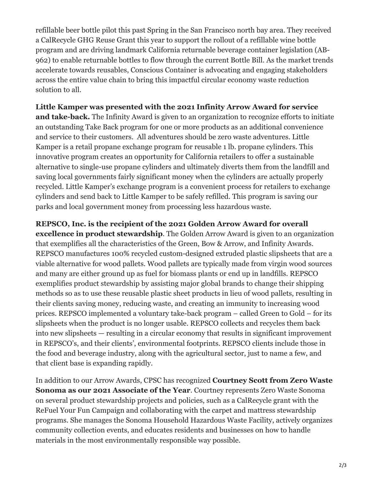refillable beer bottle pilot this past Spring in the San Francisco north bay area. They received a CalRecycle GHG Reuse Grant this year to support the rollout of a refillable wine bottle program and are driving landmark California returnable beverage container legislation (AB-962) to enable returnable bottles to flow through the current Bottle Bill. As the market trends accelerate towards reusables, Conscious Container is advocating and engaging stakeholders across the entire value chain to bring this impactful circular economy waste reduction solution to all.

**Little Kamper was presented with the 2021 Infinity Arrow Award for service and take-back.** The Infinity Award is given to an organization to recognize efforts to initiate an outstanding Take Back program for one or more products as an additional convenience and service to their customers. All adventures should be zero waste adventures. Little Kamper is a retail propane exchange program for reusable 1 lb. propane cylinders. This innovative program creates an opportunity for California retailers to offer a sustainable alternative to single-use propane cylinders and ultimately diverts them from the landfill and saving local governments fairly significant money when the cylinders are actually properly recycled. Little Kamper's exchange program is a convenient process for retailers to exchange cylinders and send back to Little Kamper to be safely refilled. This program is saving our parks and local government money from processing less hazardous waste.

**REPSCO, Inc. is the recipient of the 2021 Golden Arrow Award for overall**

**excellence in product stewardship**. The Golden Arrow Award is given to an organization that exemplifies all the characteristics of the Green, Bow & Arrow, and Infinity Awards. REPSCO manufactures 100% recycled custom-designed extruded plastic slipsheets that are a viable alternative for wood pallets. Wood pallets are typically made from virgin wood sources and many are either ground up as fuel for biomass plants or end up in landfills. REPSCO exemplifies product stewardship by assisting major global brands to change their shipping methods so as to use these reusable plastic sheet products in lieu of wood pallets, resulting in their clients saving money, reducing waste, and creating an immunity to increasing wood prices. REPSCO implemented a voluntary take-back program – called Green to Gold – for its slipsheets when the product is no longer usable. REPSCO collects and recycles them back into new slipsheets — resulting in a circular economy that results in significant improvement in REPSCO's, and their clients', environmental footprints. REPSCO clients include those in the food and beverage industry, along with the agricultural sector, just to name a few, and that client base is expanding rapidly.

In addition to our Arrow Awards, CPSC has recognized **Courtney Scott from Zero Waste Sonoma as our 2021 Associate of the Year**. Courtney represents Zero Waste Sonoma on several product stewardship projects and policies, such as a CalRecycle grant with the ReFuel Your Fun Campaign and collaborating with the carpet and mattress stewardship programs. She manages the Sonoma Household Hazardous Waste Facility, actively organizes community collection events, and educates residents and businesses on how to handle materials in the most environmentally responsible way possible.